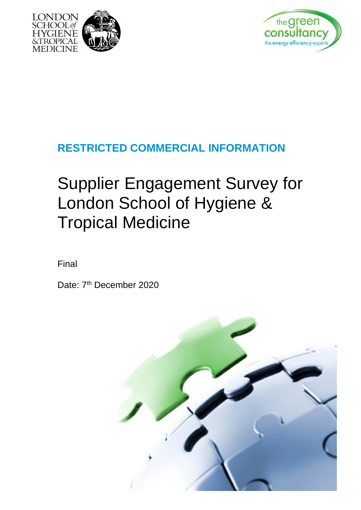



## **RESTRICTED COMMERCIAL INFORMATION**

## Supplier Engagement Survey for London School of Hygiene & Tropical Medicine

Final

Date: 7<sup>th</sup> December 2020

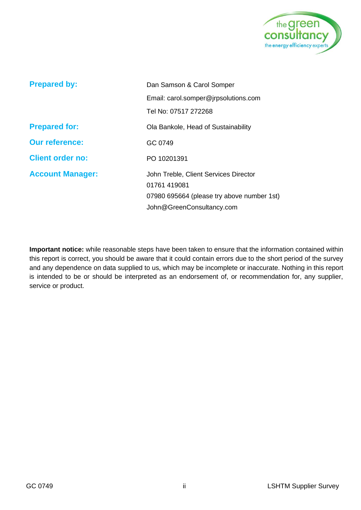

| <b>Prepared by:</b>     | Dan Samson & Carol Somper                                                                                                        |  |
|-------------------------|----------------------------------------------------------------------------------------------------------------------------------|--|
|                         | Email: carol.somper@jrpsolutions.com                                                                                             |  |
|                         | Tel No: 07517 272268                                                                                                             |  |
| <b>Prepared for:</b>    | Ola Bankole, Head of Sustainability                                                                                              |  |
| <b>Our reference:</b>   | GC 0749                                                                                                                          |  |
| <b>Client order no:</b> | PO 10201391                                                                                                                      |  |
| <b>Account Manager:</b> | John Treble, Client Services Director<br>01761 419081<br>07980 695664 (please try above number 1st)<br>John@GreenConsultancy.com |  |

**Important notice:** while reasonable steps have been taken to ensure that the information contained within this report is correct, you should be aware that it could contain errors due to the short period of the survey and any dependence on data supplied to us, which may be incomplete or inaccurate. Nothing in this report is intended to be or should be interpreted as an endorsement of, or recommendation for, any supplier, service or product.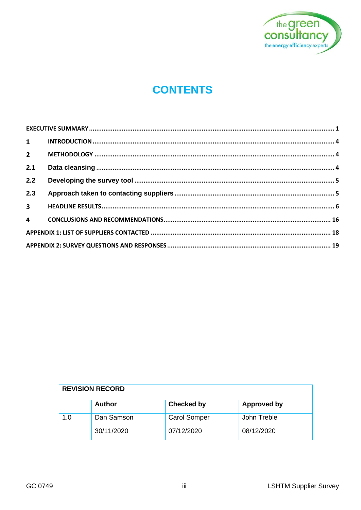

## **CONTENTS**

| $2^{\sim}$  |  |
|-------------|--|
| 2.1         |  |
| 2.2         |  |
| 2.3         |  |
| $3^{\circ}$ |  |
|             |  |
|             |  |
|             |  |
|             |  |

| <b>REVISION RECORD</b> |               |                     |                    |
|------------------------|---------------|---------------------|--------------------|
|                        | <b>Author</b> | <b>Checked by</b>   | <b>Approved by</b> |
| 1.0                    | Dan Samson    | <b>Carol Somper</b> | John Treble        |
|                        | 30/11/2020    | 07/12/2020          | 08/12/2020         |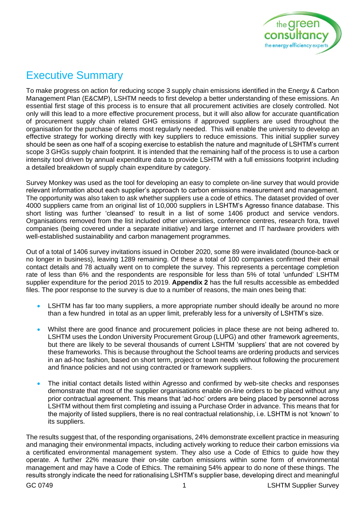

## <span id="page-3-0"></span>Executive Summary

To make progress on action for reducing scope 3 supply chain emissions identified in the Energy & Carbon Management Plan (E&CMP), LSHTM needs to first develop a better understanding of these emissions. An essential first stage of this process is to ensure that all procurement activities are closely controlled. Not only will this lead to a more effective procurement process, but it will also allow for accurate quantification of procurement supply chain related GHG emissions if approved suppliers are used throughout the organisation for the purchase of items most regularly needed. This will enable the university to develop an effective strategy for working directly with key suppliers to reduce emissions. This initial supplier survey should be seen as one half of a scoping exercise to establish the nature and magnitude of LSHTM's current scope 3 GHGs supply chain footprint. It is intended that the remaining half of the process is to use a carbon intensity tool driven by annual expenditure data to provide LSHTM with a full emissions footprint including a detailed breakdown of supply chain expenditure by category.

Survey Monkey was used as the tool for developing an easy to complete on-line survey that would provide relevant information about each supplier's approach to carbon emissions measurement and management. The opportunity was also taken to ask whether suppliers use a code of ethics. The dataset provided of over 4000 suppliers came from an original list of 10,000 suppliers in LSHTM's Agresso finance database. This short listing was further 'cleansed' to result in a list of some 1406 product and service vendors. Organisations removed from the list included other universities, conference centres, research fora, travel companies (being covered under a separate initiative) and large internet and IT hardware providers with well-established sustainability and carbon management programmes.

Out of a total of 1406 survey invitations issued in October 2020, some 89 were invalidated (bounce-back or no longer in business), leaving 1289 remaining. Of these a total of 100 companies confirmed their email contact details and 78 actually went on to complete the survey. This represents a percentage completion rate of less than 6% and the respondents are responsible for less than 5% of total 'unfunded' LSHTM supplier expenditure for the period 2015 to 2019. **Appendix 2** has the full results accessible as embedded files. The poor response to the survey is due to a number of reasons, the main ones being that:

- LSHTM has far too many suppliers, a more appropriate number should ideally be around no more than a few hundred in total as an upper limit, preferably less for a university of LSHTM's size.
- Whilst there are good finance and procurement policies in place these are not being adhered to. LSHTM uses the London University Procurement Group (LUPG) and other framework agreements, but there are likely to be several thousands of current LSHTM 'suppliers' that are not covered by these frameworks. This is because throughout the School teams are ordering products and services in an ad-hoc fashion, based on short term, project or team needs without following the procurement and finance policies and not using contracted or framework suppliers.
- The initial contact details listed within Agresso and confirmed by web-site checks and responses demonstrate that most of the supplier organisations enable on-line orders to be placed without any prior contractual agreement. This means that 'ad-hoc' orders are being placed by personnel across LSHTM without them first completing and issuing a Purchase Order in advance. This means that for the majority of listed suppliers, there is no real contractual relationship, i.e. LSHTM is not 'known' to its suppliers.

The results suggest that, of the responding organisations, 24% demonstrate excellent practice in measuring and managing their environmental impacts, including actively working to reduce their carbon emissions via a certificated environmental management system. They also use a Code of Ethics to guide how they operate. A further 22% measure their on-site carbon emissions within some form of environmental management and may have a Code of Ethics. The remaining 54% appear to do none of these things. The results strongly indicate the need for rationalising LSHTM's supplier base, developing direct and meaningful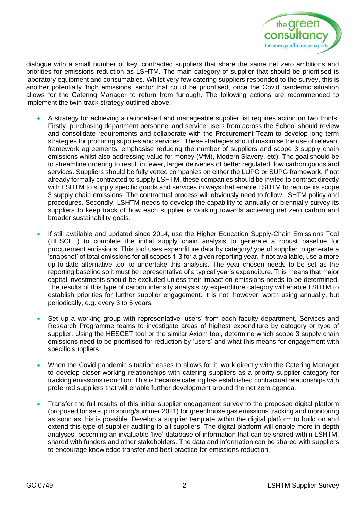

dialogue with a small number of key, contracted suppliers that share the same net zero ambitions and priorities for emissions reduction as LSHTM. The main category of supplier that should be prioritised is laboratory equipment and consumables. Whilst very few catering suppliers responded to the survey, this is another potentially 'high emissions' sector that could be prioritised, once the Covid pandemic situation allows for the Catering Manager to return from furlough. The following actions are recommended to implement the twin-track strategy outlined above:

- A strategy for achieving a rationalised and manageable supplier list requires action on two fronts. Firstly, purchasing department personnel and service users from across the School should review and consolidate requirements and collaborate with the Procurement Team to develop long term strategies for procuring supplies and services. These strategies should maximise the use of relevant framework agreements, emphasise reducing the number of suppliers and scope 3 supply chain emissions whilst also addressing value for money (VfM), Modern Slavery, etc). The goal should be to streamline ordering to result in fewer, larger deliveries of better regulated, low carbon goods and services. Suppliers should be fully vetted companies on either the LUPG or SUPG framework. If not already formally contracted to supply LSHTM, these companies should be invited to contract directly with LSHTM to supply specific goods and services in ways that enable LSHTM to reduce its scope 3 supply chain emissions. The contractual process will obviously need to follow LSHTM policy and procedures. Secondly, LSHTM needs to develop the capability to annually or biennially survey its suppliers to keep track of how each supplier is working towards achieving net zero carbon and broader sustainability goals.
- If still available and updated since 2014, use the Higher Education Supply-Chain Emissions Tool (HESCET) to complete the initial supply chain analysis to generate a robust baseline for procurement emissions. This tool uses expenditure data by category/type of supplier to generate a 'snapshot' of total emissions for all scopes 1-3 for a given reporting year. If not available, use a more up-to-date alternative tool to undertake this analysis. The year chosen needs to be set as the reporting baseline so it must be representative of a typical year's expenditure. This means that major capital investments should be excluded unless their impact on emissions needs to be determined. The results of this type of carbon intensity analysis by expenditure category will enable LSHTM to establish priorities for further supplier engagement. It is not, however, worth using annually, but periodically, e.g. every 3 to 5 years.
- Set up a working group with representative 'users' from each faculty department, Services and Research Programme teams to investigate areas of highest expenditure by category or type of supplier. Using the HESCET tool or the similar Axiom tool, determine which scope 3 supply chain emissions need to be prioritised for reduction by 'users' and what this means for engagement with specific suppliers
- When the Covid pandemic situation eases to allows for it, work directly with the Catering Manager to develop closer working relationships with catering suppliers as a priority supplier category for tracking emissions reduction. This is because catering has established contractual relationships with preferred suppliers that will enable further development around the net zero agenda.
- Transfer the full results of this initial supplier engagement survey to the proposed digital platform (proposed for set-up in spring/summer 2021) for greenhouse gas emissions tracking and monitoring as soon as this is possible. Develop a supplier template within the digital platform to build on and extend this type of supplier auditing to all suppliers. The digital platform will enable more in-depth analyses, becoming an invaluable 'live' database of information that can be shared within LSHTM, shared with funders and other stakeholders. The data and information can be shared with suppliers to encourage knowledge transfer and best practice for emissions reduction.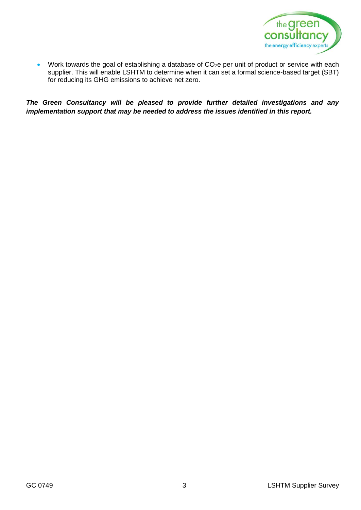

• Work towards the goal of establishing a database of  $CO<sub>2</sub>e$  per unit of product or service with each supplier. This will enable LSHTM to determine when it can set a formal science-based target (SBT) for reducing its GHG emissions to achieve net zero.

*The Green Consultancy will be pleased to provide further detailed investigations and any implementation support that may be needed to address the issues identified in this report.*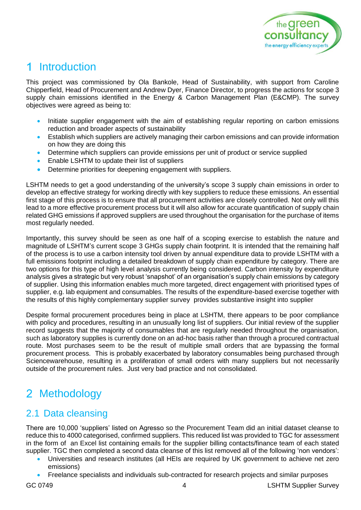

## <span id="page-6-0"></span>1 Introduction

This project was commissioned by Ola Bankole, Head of Sustainability, with support from Caroline Chipperfield, Head of Procurement and Andrew Dyer, Finance Director, to progress the actions for scope 3 supply chain emissions identified in the Energy & Carbon Management Plan (E&CMP). The survey objectives were agreed as being to:

- Initiate supplier engagement with the aim of establishing regular reporting on carbon emissions reduction and broader aspects of sustainability
- Establish which suppliers are actively managing their carbon emissions and can provide information on how they are doing this
- Determine which suppliers can provide emissions per unit of product or service supplied
- Enable LSHTM to update their list of suppliers
- Determine priorities for deepening engagement with suppliers.

LSHTM needs to get a good understanding of the university's scope 3 supply chain emissions in order to develop an effective strategy for working directly with key suppliers to reduce these emissions. An essential first stage of this process is to ensure that all procurement activities are closely controlled. Not only will this lead to a more effective procurement process but it will also allow for accurate quantification of supply chain related GHG emissions if approved suppliers are used throughout the organisation for the purchase of items most regularly needed.

Importantly, this survey should be seen as one half of a scoping exercise to establish the nature and magnitude of LSHTM's current scope 3 GHGs supply chain footprint. It is intended that the remaining half of the process is to use a carbon intensity tool driven by annual expenditure data to provide LSHTM with a full emissions footprint including a detailed breakdown of supply chain expenditure by category. There are two options for this type of high level analysis currently being considered. Carbon intensity by expenditure analysis gives a strategic but very robust 'snapshot' of an organisation's supply chain emissions by category of supplier. Using this information enables much more targeted, direct engagement with prioritised types of supplier, e.g. lab equipment and consumables. The results of the expenditure-based exercise together with the results of this highly complementary supplier survey provides substantive insight into supplier

Despite formal procurement procedures being in place at LSHTM, there appears to be poor compliance with policy and procedures, resulting in an unusually long list of suppliers. Our initial review of the supplier record suggests that the majority of consumables that are regularly needed throughout the organisation, such as laboratory supplies is currently done on an ad-hoc basis rather than through a procured contractual route. Most purchases seem to be the result of multiple small orders that are bypassing the formal procurement process. This is probably exacerbated by laboratory consumables being purchased through Sciencewarehouse, resulting in a proliferation of small orders with many suppliers but not necessarily outside of the procurement rules. Just very bad practice and not consolidated.

## <span id="page-6-1"></span>2 Methodology

## <span id="page-6-2"></span>2.1 Data cleansing

There are 10,000 'suppliers' listed on Agresso so the Procurement Team did an initial dataset cleanse to reduce this to 4000 categorised, confirmed suppliers. This reduced list was provided to TGC for assessment in the form of an Excel list containing emails for the supplier billing contacts/finance team of each stated supplier. TGC then completed a second data cleanse of this list removed all of the following 'non vendors':

- Universities and research institutes (all HEIs are required by UK government to achieve net zero emissions)
- Freelance specialists and individuals sub-contracted for research projects and similar purposes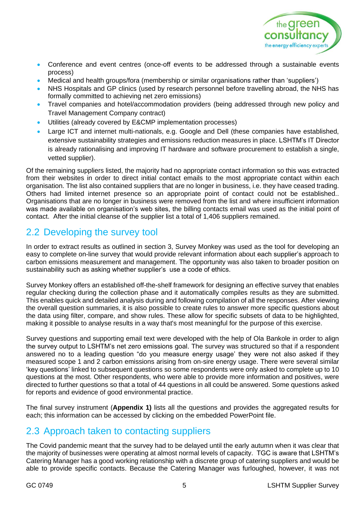

- Conference and event centres (once-off events to be addressed through a sustainable events process)
- Medical and health groups/fora (membership or similar organisations rather than 'suppliers')
- NHS Hospitals and GP clinics (used by research personnel before travelling abroad, the NHS has formally committed to achieving net zero emissions)
- Travel companies and hotel/accommodation providers (being addressed through new policy and Travel Management Company contract)
- Utilities (already covered by E&CMP implementation processes)
- Large ICT and internet multi-nationals, e.g. Google and Dell (these companies have established, extensive sustainability strategies and emissions reduction measures in place. LSHTM's IT Director is already rationalising and improving IT hardware and software procurement to establish a single, vetted supplier).

Of the remaining suppliers listed, the majority had no appropriate contact information so this was extracted from their websites in order to direct initial contact emails to the most appropriate contact within each organisation. The list also contained suppliers that are no longer in business, i.e. they have ceased trading. Others had limited internet presence so an appropriate point of contact could not be established.. Organisations that are no longer in business were removed from the list and where insufficient information was made available on organisation's web sites, the billing contacts email was used as the initial point of contact. After the initial cleanse of the supplier list a total of 1,406 suppliers remained.

## <span id="page-7-0"></span>2.2 Developing the survey tool

In order to extract results as outlined in section 3, Survey Monkey was used as the tool for developing an easy to complete on-line survey that would provide relevant information about each supplier's approach to carbon emissions measurement and management. The opportunity was also taken to broader position on sustainability such as asking whether supplier's use a code of ethics.

Survey Monkey offers an established off-the-shelf framework for designing an effective survey that enables regular checking during the collection phase and it automatically compiles results as they are submitted. This enables quick and detailed analysis during and following compilation of all the responses. After viewing the overall question summaries, it is also possible to create rules to answer more specific questions about the data using filter, compare, and show rules. These allow for specific subsets of data to be highlighted, making it possible to analyse results in a way that's most meaningful for the purpose of this exercise.

Survey questions and supporting email text were developed with the help of Ola Bankole in order to align the survey output to LSHTM's net zero emissions goal. The survey was structured so that if a respondent answered no to a leading question "do you measure energy usage' they were not also asked if they measured scope 1 and 2 carbon emissions arising from on-sire energy usage. There were several similar 'key questions' linked to subsequent questions so some respondents were only asked to complete up to 10 questions at the most. Other respondents, who were able to provide more information and positives, were directed to further questions so that a total of 44 questions in all could be answered. Some questions asked for reports and evidence of good environmental practice.

The final survey instrument (**Appendix 1)** lists all the questions and provides the aggregated results for each; this information can be accessed by clicking on the embedded PowerPoint file.

## <span id="page-7-1"></span>2.3 Approach taken to contacting suppliers

The Covid pandemic meant that the survey had to be delayed until the early autumn when it was clear that the majority of businesses were operating at almost normal levels of capacity. TGC is aware that LSHTM's Catering Manager has a good working relationship with a discrete group of catering suppliers and would be able to provide specific contacts. Because the Catering Manager was furloughed, however, it was not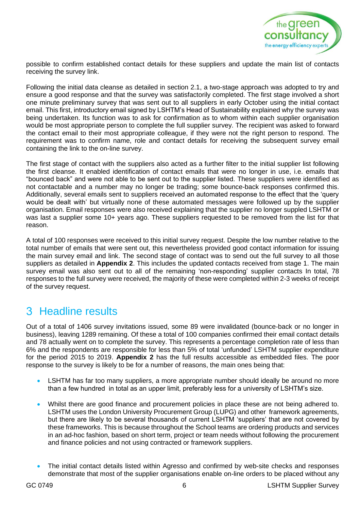

possible to confirm established contact details for these suppliers and update the main list of contacts receiving the survey link.

Following the initial data cleanse as detailed in section 2.1, a two-stage approach was adopted to try and ensure a good response and that the survey was satisfactorily completed. The first stage involved a short one minute preliminary survey that was sent out to all suppliers in early October using the initial contact email. This first, introductory email signed by LSHTM's Head of Sustainability explained why the survey was being undertaken. Its function was to ask for confirmation as to whom within each supplier organisation would be most appropriate person to complete the full supplier survey. The recipient was asked to forward the contact email to their most appropriate colleague, if they were not the right person to respond. The requirement was to confirm name, role and contact details for receiving the subsequent survey email containing the link to the on-line survey.

The first stage of contact with the suppliers also acted as a further filter to the initial supplier list following the first cleanse. It enabled identification of contact emails that were no longer in use, i.e. emails that "bounced back" and were not able to be sent out to the supplier listed. These suppliers were identified as not contactable and a number may no longer be trading; some bounce-back responses confirmed this. Additionally, several emails sent to suppliers received an automated response to the effect that the 'query would be dealt with' but virtually none of these automated messages were followed up by the supplier organisation. Email responses were also received explaining that the supplier no longer suppled LSHTM or was last a supplier some 10+ years ago. These suppliers requested to be removed from the list for that reason.

A total of 100 responses were received to this initial survey request. Despite the low number relative to the total number of emails that were sent out, this nevertheless provided good contact information for issuing the main survey email and link. The second stage of contact was to send out the full survey to all those suppliers as detailed in **Appendix 2**. This includes the updated contacts received from stage 1. The main survey email was also sent out to all of the remaining 'non-responding' supplier contacts In total, 78 responses to the full survey were received, the majority of these were completed within 2-3 weeks of receipt of the survey request.

## <span id="page-8-0"></span>3 Headline results

Out of a total of 1406 survey invitations issued, some 89 were invalidated (bounce-back or no longer in business), leaving 1289 remaining. Of these a total of 100 companies confirmed their email contact details and 78 actually went on to complete the survey. This represents a percentage completion rate of less than 6% and the respondents are responsible for less than 5% of total 'unfunded' LSHTM supplier expenditure for the period 2015 to 2019. **Appendix 2** has the full results accessible as embedded files. The poor response to the survey is likely to be for a number of reasons, the main ones being that:

- LSHTM has far too many suppliers, a more appropriate number should ideally be around no more than a few hundred in total as an upper limit, preferably less for a university of LSHTM's size.
- Whilst there are good finance and procurement policies in place these are not being adhered to. LSHTM uses the London University Procurement Group (LUPG) and other framework agreements, but there are likely to be several thousands of current LSHTM 'suppliers' that are not covered by these frameworks. This is because throughout the School teams are ordering products and services in an ad-hoc fashion, based on short term, project or team needs without following the procurement and finance policies and not using contracted or framework suppliers.
- The initial contact details listed within Agresso and confirmed by web-site checks and responses demonstrate that most of the supplier organisations enable on-line orders to be placed without any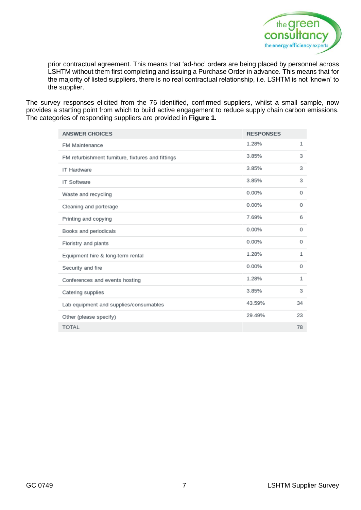

prior contractual agreement. This means that 'ad-hoc' orders are being placed by personnel across LSHTM without them first completing and issuing a Purchase Order in advance. This means that for the majority of listed suppliers, there is no real contractual relationship, i.e. LSHTM is not 'known' to the supplier.

The survey responses elicited from the 76 identified, confirmed suppliers, whilst a small sample, now provides a starting point from which to build active engagement to reduce supply chain carbon emissions. The categories of responding suppliers are provided in **Figure 1.**

| <b>ANSWER CHOICES</b>                             | <b>RESPONSES</b> |              |
|---------------------------------------------------|------------------|--------------|
| <b>FM Maintenance</b>                             | 1.28%            | 1            |
| FM refurbishment furniture, fixtures and fittings | 3.85%            | 3            |
| <b>IT Hardware</b>                                | 3.85%            | 3            |
| <b>IT Software</b>                                | 3.85%            | 3            |
| Waste and recycling                               | 0.00%            | 0            |
| Cleaning and porterage                            | 0.00%            | 0            |
| Printing and copying                              | 7.69%            | 6            |
| Books and periodicals                             | 0.00%            | 0            |
| Floristry and plants                              | 0.00%            | 0            |
| Equipment hire & long-term rental                 | 1.28%            | 1            |
| Security and fire                                 | 0.00%            | 0            |
| Conferences and events hosting                    | 1.28%            | $\mathbf{1}$ |
| Catering supplies                                 | 3.85%            | 3            |
| Lab equipment and supplies/consumables            | 43.59%           | 34           |
| Other (please specify)                            | 29.49%           | 23           |
| <b>TOTAL</b>                                      |                  | 78           |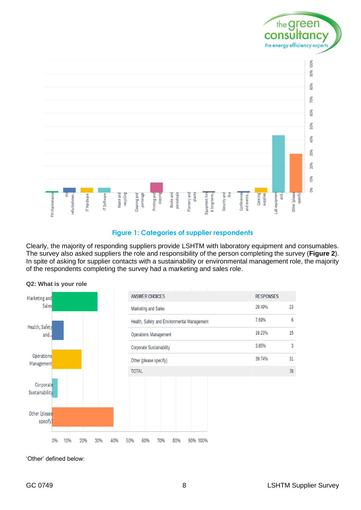

#### **Figure 1: Categories of supplier respondents**

Clearly, the majority of responding suppliers provide LSHTM with laboratory equipment and consumables. The survey also asked suppliers the role and responsibility of the person completing the survey (**Figure 2**). In spite of asking for supplier contacts with a sustainability or environmental management role, the majority of the respondents completing the survey had a marketing and sales role.



**Q2: What is your role**

'Other' defined below: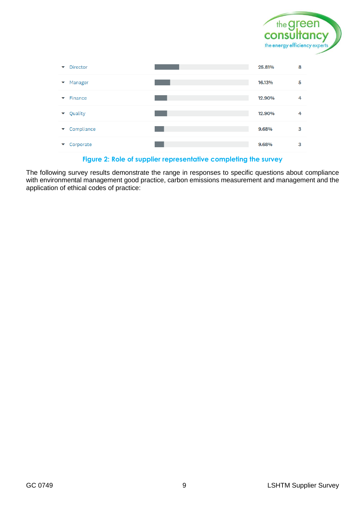



**Figure 2: Role of supplier representative completing the survey**

The following survey results demonstrate the range in responses to specific questions about compliance with environmental management good practice, carbon emissions measurement and management and the application of ethical codes of practice: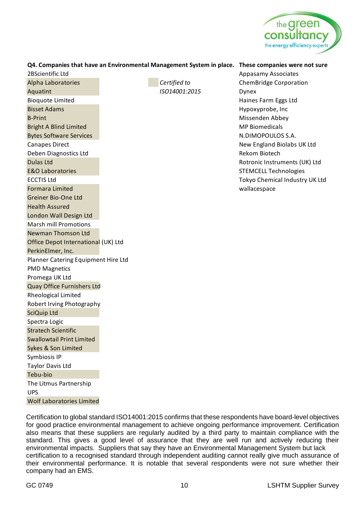

|                                     |               | Q4. Companies that have an Environmental Management System in place. These companies were not sure |
|-------------------------------------|---------------|----------------------------------------------------------------------------------------------------|
| 2BScientific Ltd                    |               | <b>Appasamy Associates</b>                                                                         |
| Alpha Laboratories                  | Certified to  | <b>ChemBridge Corporation</b>                                                                      |
| Aquatint                            | ISO14001:2015 | Dynex                                                                                              |
| <b>Bioquote Limited</b>             |               | Haines Farm Eggs Ltd                                                                               |
| <b>Bisset Adams</b>                 |               | Hypoxyprobe, Inc                                                                                   |
| <b>B-Print</b>                      |               | Missenden Abbey                                                                                    |
| <b>Bright A Blind Limited</b>       |               | <b>MP Biomedicals</b>                                                                              |
| <b>Bytes Software Services</b>      |               | N.DIMOPOULOS S.A.                                                                                  |
| <b>Canapes Direct</b>               |               | New England Biolabs UK Ltd                                                                         |
| Deben Diagnostics Ltd               |               | <b>Rekom Biotech</b>                                                                               |
| <b>Dulas Ltd</b>                    |               | Rotronic Instruments (UK) Ltd                                                                      |
| <b>E&amp;O Laboratories</b>         |               | <b>STEMCELL Technologies</b>                                                                       |
| <b>ECCTIS Ltd</b>                   |               | Tokyo Chemical Industry UK Ltd                                                                     |
| <b>Formara Limited</b>              |               | wallacespace                                                                                       |
| Greiner Bio-One Ltd                 |               |                                                                                                    |
| <b>Health Assured</b>               |               |                                                                                                    |
| London Wall Design Ltd              |               |                                                                                                    |
| <b>Marsh mill Promotions</b>        |               |                                                                                                    |
| <b>Newman Thomson Ltd</b>           |               |                                                                                                    |
| Office Depot International (UK) Ltd |               |                                                                                                    |
| PerkinElmer, Inc.                   |               |                                                                                                    |
| Planner Catering Equipment Hire Ltd |               |                                                                                                    |
| <b>PMD Magnetics</b>                |               |                                                                                                    |
| Promega UK Ltd                      |               |                                                                                                    |
| <b>Quay Office Furnishers Ltd</b>   |               |                                                                                                    |
| Rheological Limited                 |               |                                                                                                    |
| Robert Irving Photography           |               |                                                                                                    |
| SciQuip Ltd                         |               |                                                                                                    |
| Spectra Logic                       |               |                                                                                                    |
| <b>Stratech Scientific</b>          |               |                                                                                                    |
| <b>Swallowtail Print Limited</b>    |               |                                                                                                    |
| Sykes & Son Limited                 |               |                                                                                                    |
| Symbiosis IP                        |               |                                                                                                    |
| <b>Taylor Davis Ltd</b>             |               |                                                                                                    |
| Tebu-bio                            |               |                                                                                                    |
| The Litmus Partnership              |               |                                                                                                    |
| <b>UPS</b>                          |               |                                                                                                    |
| <b>Wolf Laboratories Limited</b>    |               |                                                                                                    |

Certification to global standard ISO14001:2015 confirms that these respondents have board-level objectives for good practice environmental management to achieve ongoing performance improvement. Certification also means that these suppliers are regularly audited by a third party to maintain compliance with the standard. This gives a good level of assurance that they are well run and actively reducing their environmental impacts. Suppliers that say they have an Environmental Management System but lack certification to a recognised standard through independent auditing cannot really give much assurance of their environmental performance. It is notable that several respondents were not sure whether their company had an EMS.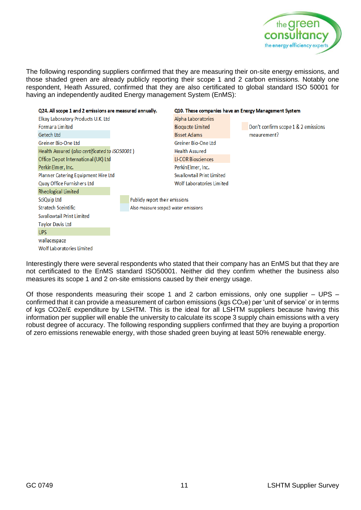

The following responding suppliers confirmed that they are measuring their on-site energy emissions, and those shaded green are already publicly reporting their scope 1 and 2 carbon emissions. Notably one respondent, Heath Assured, confirmed that they are also certificated to global standard ISO 50001 for having an independently audited Energy management System (EnMS):



Interestingly there were several respondents who stated that their company has an EnMS but that they are not certificated to the EnMS standard ISO50001. Neither did they confirm whether the business also measures its scope 1 and 2 on-site emissions caused by their energy usage.

Of those respondents measuring their scope 1 and 2 carbon emissions, only one supplier – UPS – confirmed that it can provide a measurement of carbon emissions ( $kgs CO<sub>2</sub>e$ ) per 'unit of service' or in terms of kgs CO2e/£ expenditure by LSHTM. This is the ideal for all LSHTM suppliers because having this information per supplier will enable the university to calculate its scope 3 supply chain emissions with a very robust degree of accuracy. The following responding suppliers confirmed that they are buying a proportion of zero emissions renewable energy, with those shaded green buying at least 50% renewable energy.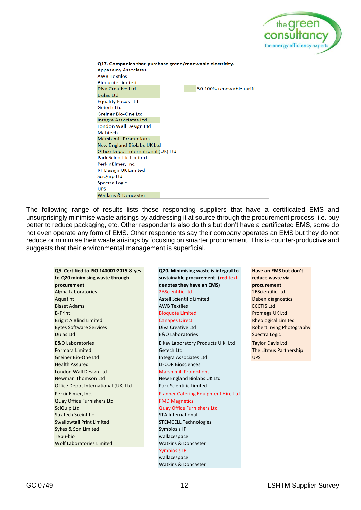

| Q17. Companies that purchase green/renewable electricity.<br><b>Appasamy Associates</b> |  |                          |  |  |
|-----------------------------------------------------------------------------------------|--|--------------------------|--|--|
| <b>AWB Textiles</b>                                                                     |  |                          |  |  |
| <b>Bioquote Limited</b>                                                                 |  |                          |  |  |
| Diva Creative Ltd                                                                       |  | 50-100% renewable tariff |  |  |
| Dulas Ltd                                                                               |  |                          |  |  |
| <b>Equality Focus Ltd</b>                                                               |  |                          |  |  |
| Getech Itd                                                                              |  |                          |  |  |
| Greiner Bio-One Ltd                                                                     |  |                          |  |  |
| Integra Associates Ltd                                                                  |  |                          |  |  |
| London Wall Design Ltd                                                                  |  |                          |  |  |
| Mabtech                                                                                 |  |                          |  |  |
| <b>Marsh mill Promotions</b>                                                            |  |                          |  |  |
| <b>New England Biolabs UK Ltd</b>                                                       |  |                          |  |  |
| Office Depot International (UK) Ltd                                                     |  |                          |  |  |
| <b>Park Scientific Limited</b>                                                          |  |                          |  |  |
| PerkinElmer, Inc.                                                                       |  |                          |  |  |
| <b>RF Design UK Limited</b>                                                             |  |                          |  |  |
| SciQuip Ltd                                                                             |  |                          |  |  |
| Spectra Logic                                                                           |  |                          |  |  |
| <b>UPS</b>                                                                              |  |                          |  |  |
| <b>Watkins &amp; Doncaster</b>                                                          |  |                          |  |  |

The following range of results lists those responding suppliers that have a certificated EMS and unsurprisingly minimise waste arisings by addressing it at source through the procurement process, i.e. buy better to reduce packaging, etc. Other respondents also do this but don't have a certificated EMS, some do not even operate any form of EMS. Other respondents say their company operates an EMS but they do not reduce or minimise their waste arisings by focusing on smarter procurement. This is counter-productive and suggests that their environmental management is superficial.

**Q5. Certified to ISO 140001:2015 & yes to Q20 minimising waste through procurement** Alpha Laboratories 2BScientific Ltd 2BScientific Ltd Aquatint **Astell Scientific Limited** Deben diagnostics **Contract Astell Scientific Limited** Deben diagnostics **Bisset Adams AWB Textiles AWB Textiles AWB Textiles ECCTIS Ltd** B-Print Bioquote Limited Bioquote Limited Promega UK Ltd Bright A Blind Limited **Canapes Direct** Canapes Direct Rheological Limited Bytes Software Services **Diva Creative Ltd** Diva Creative Ltd Robert Irving Photography **Dulas Ltd E&O Laboratories Spectra Logic** Spectra Logic E&O Laboratories Elkay Laboratory Products U.K. Ltd Taylor Davis Ltd Formara Limited Getech Ltd The Litmus Partnership Greiner Bio-One Ltd Integra Associates Ltd UPS Health Assured LI-COR Biosciences London Wall Design Ltd Marsh mill Promotions Newman Thomson Ltd New England Biolabs UK Ltd Office Depot International (UK) Ltd Park Scientific Limited PerkinElmer, Inc. Planner Catering Equipment Hire Ltd **Quay Office Furnishers Ltd PMD Magnetics SciQuip Ltd COULD COULD COULD COULD COULD COULD COULD COULD COULD COULD COULD COULD COULD COULD COULD COULD COULD COULD COULD COULD COULD COULD COULD COULD COULD COULD COULD COULD COULD COULD COULD COULD COULD COULD COU Stratech Sceintific Stratech Sceintific STA International** Swallowtail Print Limited STEMCELL Technologies Sykes & Son Limited Sykes & Son Limited Tebu-bio wallacespace Wolf Laboratories Limited Watkins & Doncaster

# **sustainable procurement. (red text denotes they have an EMS)** Symbiosis IP wallacespace Watkins & Doncaster

**Q20. Minimising waste is integral to** 

**Have an EMS but don't reduce waste via procurement**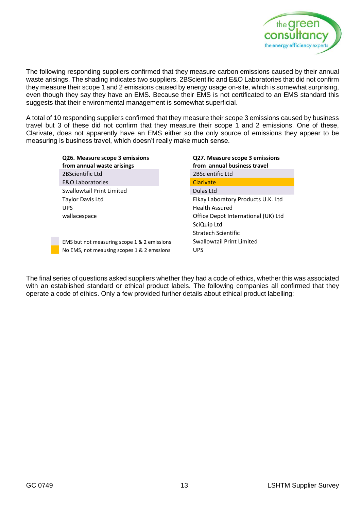

The following responding suppliers confirmed that they measure carbon emissions caused by their annual waste arisings. The shading indicates two suppliers, 2BScientific and E&O Laboratories that did not confirm they measure their scope 1 and 2 emissions caused by energy usage on-site, which is somewhat surprising, even though they say they have an EMS. Because their EMS is not certificated to an EMS standard this suggests that their environmental management is somewhat superficial.

A total of 10 responding suppliers confirmed that they measure their scope 3 emissions caused by business travel but 3 of these did not confirm that they measure their scope 1 and 2 emissions. One of these, Clarivate, does not apparently have an EMS either so the only source of emissions they appear to be measuring is business travel, which doesn't really make much sense.

| Q26. Measure scope 3 emissions<br>from annual waste arisings | Q27. Measure scope 3 emissions<br>from annual business travel |
|--------------------------------------------------------------|---------------------------------------------------------------|
| 2BScientific Ltd                                             | 2BScientific Ltd                                              |
| <b>E&amp;O Laboratories</b>                                  | Clarivate                                                     |
| Swallowtail Print Limited                                    | Dulas Ltd                                                     |
| Taylor Davis Ltd                                             | Elkay Laboratory Products U.K. Ltd                            |
| <b>UPS</b>                                                   | <b>Health Assured</b>                                         |
| wallacespace                                                 | Office Depot International (UK) Ltd                           |
|                                                              | SciQuip Ltd                                                   |
|                                                              | Stratech Scientific                                           |
| EMS but not measuring scope 1 & 2 emissions                  | Swallowtail Print Limited                                     |
| No EMS, not meausing scopes 1 & 2 emssions                   | <b>UPS</b>                                                    |

The final series of questions asked suppliers whether they had a code of ethics, whether this was associated with an established standard or ethical product labels. The following companies all confirmed that they operate a code of ethics. Only a few provided further details about ethical product labelling: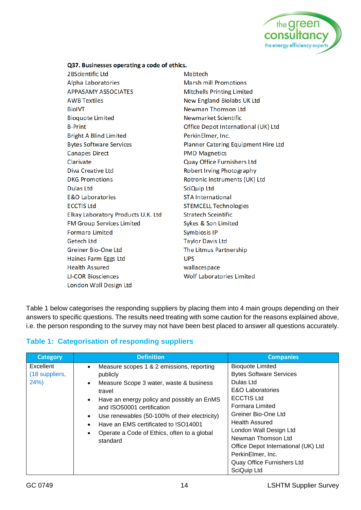

#### Q37. Businesses operating a code of ethics.

2BScientific Ltd Alpha Laboratories **APPASAMY ASSOCIATES AWB Textiles BiolVT Bioquote Limited B-Print Bright A Blind Limited Bytes Software Services Canapes Direct** Clarivate Diva Creative Ltd **DKG Promotions Dulas Ltd E&O Laboratories ECCTIS Ltd** Elkay Laboratory Products U.K. Ltd **FM Group Services Limited Formara Limited Getech Ltd Greiner Bio-One Ltd** Haines Farm Eggs Ltd **Health Assured LI-COR Biosciences** London Wall Design Ltd

Mabtech **Marsh mill Promotions Mitchells Printing Limited New England Biolabs UK Ltd Newman Thomson Ltd** Newmarket Scientific Office Depot International (UK) Ltd PerkinElmer, Inc. Planner Catering Equipment Hire Ltd **PMD Magnetics Quay Office Furnishers Ltd** Robert Irving Photography Rotronic Instruments (UK) Ltd SciQuip Ltd **STA International STEMCELL Technologies Stratech Sceintific** Sykes & Son Limited **Symbiosis IP Taylor Davis Ltd** The Litmus Partnership **UPS** wallacespace **Wolf Laboratories Limited** 

[Table 1](#page-16-0) below categorises the responding suppliers by placing them into 4 main groups depending on their answers to specific questions. The results need treating with some caution for the reasons explained above, i.e. the person responding to the survey may not have been best placed to answer all questions accurately.

#### <span id="page-16-0"></span>**Table 1: Categorisation of responding suppliers**

| <b>Category</b>                    | <b>Definition</b>                                                                                                                                                                                                                                                                                                                                            | <b>Companies</b>                                                                                                                                                                                                                                                                                                                                   |
|------------------------------------|--------------------------------------------------------------------------------------------------------------------------------------------------------------------------------------------------------------------------------------------------------------------------------------------------------------------------------------------------------------|----------------------------------------------------------------------------------------------------------------------------------------------------------------------------------------------------------------------------------------------------------------------------------------------------------------------------------------------------|
| Excellent<br>(18 suppliers,<br>24% | Measure scopes 1 & 2 emissions, reporting<br>$\bullet$<br>publicly<br>Measure Scope 3 water, waste & business<br>٠<br>travel<br>Have an energy policy and possibly an EnMS<br>and ISO50001 certification<br>Use renewables (50-100% of their electricity)<br>Have an EMS certificated to !SO14001<br>Operate a Code of Ethics, often to a global<br>standard | <b>Bioquote Limited</b><br><b>Bytes Software Services</b><br>Dulas Ltd<br>E&O Laboratories<br><b>ECCTIS Ltd</b><br><b>Formara Limited</b><br>Greiner Bio-One Ltd<br><b>Health Assured</b><br>London Wall Design Ltd<br>Newman Thomson Ltd<br>Office Depot International (UK) Ltd<br>PerkinElmer, Inc.<br>Quay Office Furnishers Ltd<br>SciQuip Ltd |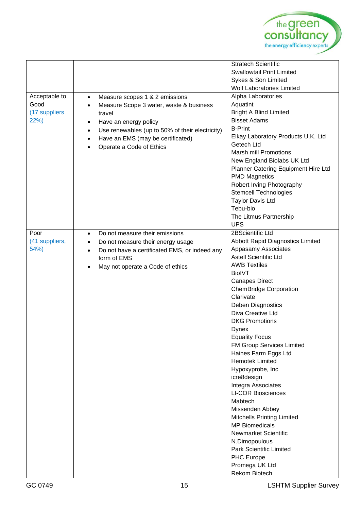

| Acceptable to<br>Good<br>(17 suppliers<br>22%) | Measure scopes 1 & 2 emissions<br>$\bullet$<br>Measure Scope 3 water, waste & business<br>$\bullet$<br>travel<br>Have an energy policy<br>$\bullet$<br>Use renewables (up to 50% of their electricity)<br>$\bullet$<br>Have an EMS (may be certificated)<br>$\bullet$<br>Operate a Code of Ethics | <b>Stratech Scientific</b><br><b>Swallowtail Print Limited</b><br>Sykes & Son Limited<br><b>Wolf Laboratories Limited</b><br>Alpha Laboratories<br>Aquatint<br><b>Bright A Blind Limited</b><br><b>Bisset Adams</b><br><b>B-Print</b><br>Elkay Laboratory Products U.K. Ltd<br>Getech Ltd<br><b>Marsh mill Promotions</b><br>New England Biolabs UK Ltd<br>Planner Catering Equipment Hire Ltd<br><b>PMD Magnetics</b><br>Robert Irving Photography<br><b>Stemcell Technologies</b><br><b>Taylor Davis Ltd</b><br>Tebu-bio<br>The Litmus Partnership                                                                                                                                                                                              |
|------------------------------------------------|---------------------------------------------------------------------------------------------------------------------------------------------------------------------------------------------------------------------------------------------------------------------------------------------------|---------------------------------------------------------------------------------------------------------------------------------------------------------------------------------------------------------------------------------------------------------------------------------------------------------------------------------------------------------------------------------------------------------------------------------------------------------------------------------------------------------------------------------------------------------------------------------------------------------------------------------------------------------------------------------------------------------------------------------------------------|
| Poor<br>(41 suppliers,<br>54%)                 | Do not measure their emissions<br>$\bullet$<br>Do not measure their energy usage<br>$\bullet$<br>Do not have a certificated EMS, or indeed any<br>$\bullet$<br>form of EMS<br>May not operate a Code of ethics                                                                                    | <b>UPS</b><br>2BScientific Ltd<br>Abbott Rapid Diagnostics Limited<br>Appasamy Associates<br><b>Astell Scientific Ltd</b><br><b>AWB Textiles</b><br><b>BiolVT</b><br><b>Canapes Direct</b><br><b>ChemBridge Corporation</b><br>Clarivate<br>Deben Diagnostics<br>Diva Creative Ltd<br><b>DKG Promotions</b><br>Dynex<br><b>Equality Focus</b><br>FM Group Services Limited<br>Haines Farm Eggs Ltd<br><b>Hemotek Limited</b><br>Hypoxyprobe, Inc<br>icre8design<br>Integra Associates<br><b>LI-COR Biosciences</b><br>Mabtech<br>Missenden Abbey<br><b>Mitchells Printing Limited</b><br><b>MP Biomedicals</b><br><b>Newmarket Scientific</b><br>N.Dimopoulous<br><b>Park Scientific Limited</b><br>PHC Europe<br>Promega UK Ltd<br>Rekom Biotech |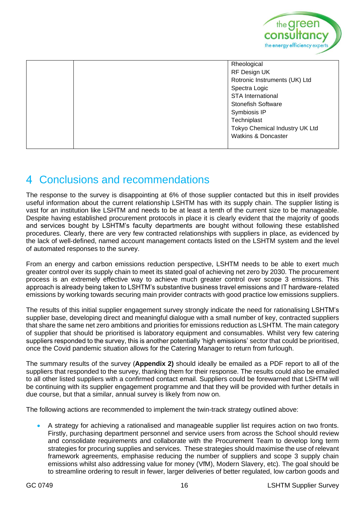

|  | Rheological                    |
|--|--------------------------------|
|  | RF Design UK                   |
|  | Rotronic Instruments (UK) Ltd  |
|  | Spectra Logic                  |
|  | <b>STA International</b>       |
|  | <b>Stonefish Software</b>      |
|  | Symbiosis IP                   |
|  | Techniplast                    |
|  | Tokyo Chemical Industry UK Ltd |
|  | <b>Watkins &amp; Doncaster</b> |
|  |                                |

## <span id="page-18-0"></span>Conclusions and recommendations

The response to the survey is disappointing at 6% of those supplier contacted but this in itself provides useful information about the current relationship LSHTM has with its supply chain. The supplier listing is vast for an institution like LSHTM and needs to be at least a tenth of the current size to be manageable. Despite having established procurement protocols in place it is clearly evident that the majority of goods and services bought by LSHTM's faculty departments are bought without following these established procedures. Clearly, there are very few contracted relationships with suppliers in place, as evidenced by the lack of well-defined, named account management contacts listed on the LSHTM system and the level of automated responses to the survey.

From an energy and carbon emissions reduction perspective, LSHTM needs to be able to exert much greater control over its supply chain to meet its stated goal of achieving net zero by 2030. The procurement process is an extremely effective way to achieve much greater control over scope 3 emissions. This approach is already being taken to LSHTM's substantive business travel emissions and IT hardware-related emissions by working towards securing main provider contracts with good practice low emissions suppliers.

The results of this initial supplier engagement survey strongly indicate the need for rationalising LSHTM's supplier base, developing direct and meaningful dialogue with a small number of key, contracted suppliers that share the same net zero ambitions and priorities for emissions reduction as LSHTM. The main category of supplier that should be prioritised is laboratory equipment and consumables. Whilst very few catering suppliers responded to the survey, this is another potentially 'high emissions' sector that could be prioritised, once the Covid pandemic situation allows for the Catering Manager to return from furlough.

The summary results of the survey (**Appendix 2)** should ideally be emailed as a PDF report to all of the suppliers that responded to the survey, thanking them for their response. The results could also be emailed to all other listed suppliers with a confirmed contact email. Suppliers could be forewarned that LSHTM will be continuing with its supplier engagement programme and that they will be provided with further details in due course, but that a similar, annual survey is likely from now on.

The following actions are recommended to implement the twin-track strategy outlined above:

• A strategy for achieving a rationalised and manageable supplier list requires action on two fronts. Firstly, purchasing department personnel and service users from across the School should review and consolidate requirements and collaborate with the Procurement Team to develop long term strategies for procuring supplies and services. These strategies should maximise the use of relevant framework agreements, emphasise reducing the number of suppliers and scope 3 supply chain emissions whilst also addressing value for money (VfM), Modern Slavery, etc). The goal should be to streamline ordering to result in fewer, larger deliveries of better regulated, low carbon goods and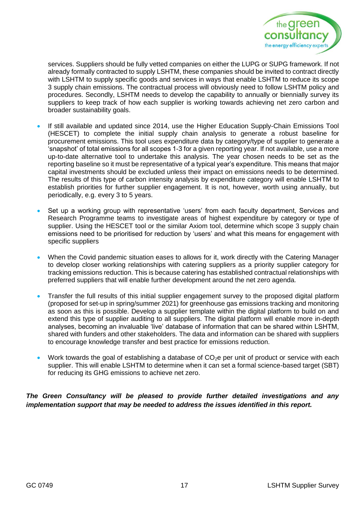

services. Suppliers should be fully vetted companies on either the LUPG or SUPG framework. If not already formally contracted to supply LSHTM, these companies should be invited to contract directly with LSHTM to supply specific goods and services in ways that enable LSHTM to reduce its scope 3 supply chain emissions. The contractual process will obviously need to follow LSHTM policy and procedures. Secondly, LSHTM needs to develop the capability to annually or biennially survey its suppliers to keep track of how each supplier is working towards achieving net zero carbon and broader sustainability goals.

- If still available and updated since 2014, use the Higher Education Supply-Chain Emissions Tool (HESCET) to complete the initial supply chain analysis to generate a robust baseline for procurement emissions. This tool uses expenditure data by category/type of supplier to generate a 'snapshot' of total emissions for all scopes 1-3 for a given reporting year. If not available, use a more up-to-date alternative tool to undertake this analysis. The year chosen needs to be set as the reporting baseline so it must be representative of a typical year's expenditure. This means that major capital investments should be excluded unless their impact on emissions needs to be determined. The results of this type of carbon intensity analysis by expenditure category will enable LSHTM to establish priorities for further supplier engagement. It is not, however, worth using annually, but periodically, e.g. every 3 to 5 years.
- Set up a working group with representative 'users' from each faculty department, Services and Research Programme teams to investigate areas of highest expenditure by category or type of supplier. Using the HESCET tool or the similar Axiom tool, determine which scope 3 supply chain emissions need to be prioritised for reduction by 'users' and what this means for engagement with specific suppliers
- When the Covid pandemic situation eases to allows for it, work directly with the Catering Manager to develop closer working relationships with catering suppliers as a priority supplier category for tracking emissions reduction. This is because catering has established contractual relationships with preferred suppliers that will enable further development around the net zero agenda.
- Transfer the full results of this initial supplier engagement survey to the proposed digital platform (proposed for set-up in spring/summer 2021) for greenhouse gas emissions tracking and monitoring as soon as this is possible. Develop a supplier template within the digital platform to build on and extend this type of supplier auditing to all suppliers. The digital platform will enable more in-depth analyses, becoming an invaluable 'live' database of information that can be shared within LSHTM, shared with funders and other stakeholders. The data and information can be shared with suppliers to encourage knowledge transfer and best practice for emissions reduction.
- Work towards the goal of establishing a database of  $CO<sub>2</sub>e$  per unit of product or service with each supplier. This will enable LSHTM to determine when it can set a formal science-based target (SBT) for reducing its GHG emissions to achieve net zero.

#### *The Green Consultancy will be pleased to provide further detailed investigations and any implementation support that may be needed to address the issues identified in this report.*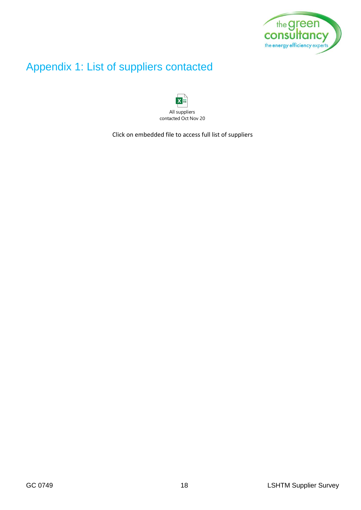

## <span id="page-20-0"></span>Appendix 1: List of suppliers contacted



Click on embedded file to access full list of suppliers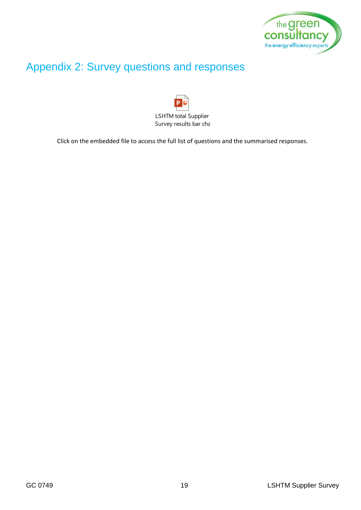

## <span id="page-21-0"></span>Appendix 2: Survey questions and responses



Click on the embedded file to access the full list of questions and the summarised responses.